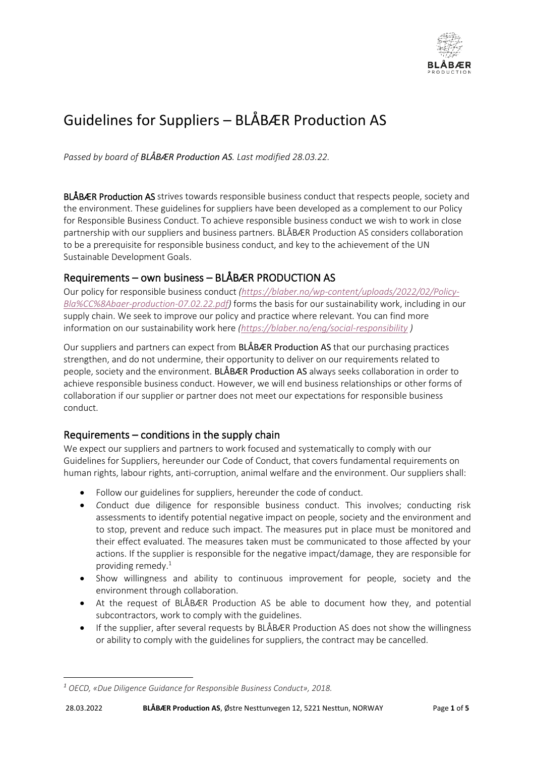

# Guidelines for Suppliers – BLÅBÆR Production AS

*Passed by board of BLÅBÆR Production AS. Last modified 28.03.22.*

BLÅBÆR Production AS strives towards responsible business conduct that respects people, society and the environment. These guidelines for suppliers have been developed as a complement to our Policy for Responsible Business Conduct. To achieve responsible business conduct we wish to work in close partnership with our suppliers and business partners. BLÅBÆR Production AS considers collaboration to be a prerequisite for responsible business conduct, and key to the achievement of the UN Sustainable Development Goals.

# Requirements – own business – BLÅBÆR PRODUCTION AS

Our policy for responsible business conduct *[\(https://blaber.no/wp-content/uploads/2022/02/Policy-](https://blaber.no/wp-content/uploads/2022/02/Policy-Bla%CC%8Abaer-production-07.02.22.pdf)[Bla%CC%8Abaer-production-07.02.22.pdf\)](https://blaber.no/wp-content/uploads/2022/02/Policy-Bla%CC%8Abaer-production-07.02.22.pdf)* forms the basis for our sustainability work, including in our supply chain. We seek to improve our policy and practice where relevant. You can find more information on our sustainability work here *[\(https://blaber.no/eng/social-responsibility](https://blaber.no/eng/social-responsibility) )*

Our suppliers and partners can expect from BLÅBÆR Production AS that our purchasing practices strengthen, and do not undermine, their opportunity to deliver on our requirements related to people, society and the environment. BLÅBÆR Production AS always seeks collaboration in order to achieve responsible business conduct. However, we will end business relationships or other forms of collaboration if our supplier or partner does not meet our expectations for responsible business conduct.

# Requirements – conditions in the supply chain

We expect our suppliers and partners to work focused and systematically to comply with our Guidelines for Suppliers, hereunder our Code of Conduct, that covers fundamental requirements on human rights, labour rights, anti-corruption, animal welfare and the environment. Our suppliers shall:

- Follow our guidelines for suppliers, hereunder the code of conduct.
- *C*onduct due diligence for responsible business conduct. This involves; conducting risk assessments to identify potential negative impact on people, society and the environment and to stop, prevent and reduce such impact. The measures put in place must be monitored and their effect evaluated. The measures taken must be communicated to those affected by your actions. If the supplier is responsible for the negative impact/damage, they are responsible for providing remedy. 1
- Show willingness and ability to continuous improvement for people, society and the environment through collaboration.
- At the request of BLÅBÆR Production AS be able to document how they, and potential subcontractors, work to comply with the guidelines.
- If the supplier, after several requests by BLÅBÆR Production AS does not show the willingness or ability to comply with the guidelines for suppliers, the contract may be cancelled.

*<sup>1</sup> OECD, «Due Diligence Guidance for Responsible Business Conduct», 2018.*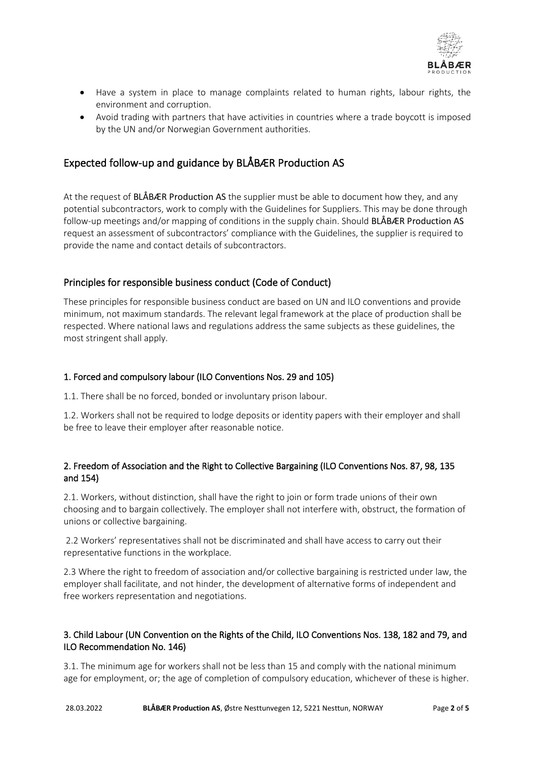

- Have a system in place to manage complaints related to human rights, labour rights, the environment and corruption.
- Avoid trading with partners that have activities in countries where a trade boycott is imposed by the UN and/or Norwegian Government authorities.

# Expected follow-up and guidance by BLÅBÆR Production AS

At the request of BLÅBÆR Production AS the supplier must be able to document how they, and any potential subcontractors, work to comply with the Guidelines for Suppliers. This may be done through follow-up meetings and/or mapping of conditions in the supply chain. Should BLÅBÆR Production AS request an assessment of subcontractors' compliance with the Guidelines, the supplier is required to provide the name and contact details of subcontractors.

# Principles for responsible business conduct (Code of Conduct)

These principles for responsible business conduct are based on UN and ILO conventions and provide minimum, not maximum standards. The relevant legal framework at the place of production shall be respected. Where national laws and regulations address the same subjects as these guidelines, the most stringent shall apply.

#### 1. Forced and compulsory labour (ILO Conventions Nos. 29 and 105)

1.1. There shall be no forced, bonded or involuntary prison labour.

1.2. Workers shall not be required to lodge deposits or identity papers with their employer and shall be free to leave their employer after reasonable notice.

# 2. Freedom of Association and the Right to Collective Bargaining (ILO Conventions Nos. 87, 98, 135 and 154)

2.1. Workers, without distinction, shall have the right to join or form trade unions of their own choosing and to bargain collectively. The employer shall not interfere with, obstruct, the formation of unions or collective bargaining.

2.2 Workers' representatives shall not be discriminated and shall have access to carry out their representative functions in the workplace.

2.3 Where the right to freedom of association and/or collective bargaining is restricted under law, the employer shall facilitate, and not hinder, the development of alternative forms of independent and free workers representation and negotiations.

# 3. Child Labour (UN Convention on the Rights of the Child, ILO Conventions Nos. 138, 182 and 79, and ILO Recommendation No. 146)

3.1. The minimum age for workers shall not be less than 15 and comply with the national minimum age for employment, or; the age of completion of compulsory education, whichever of these is higher.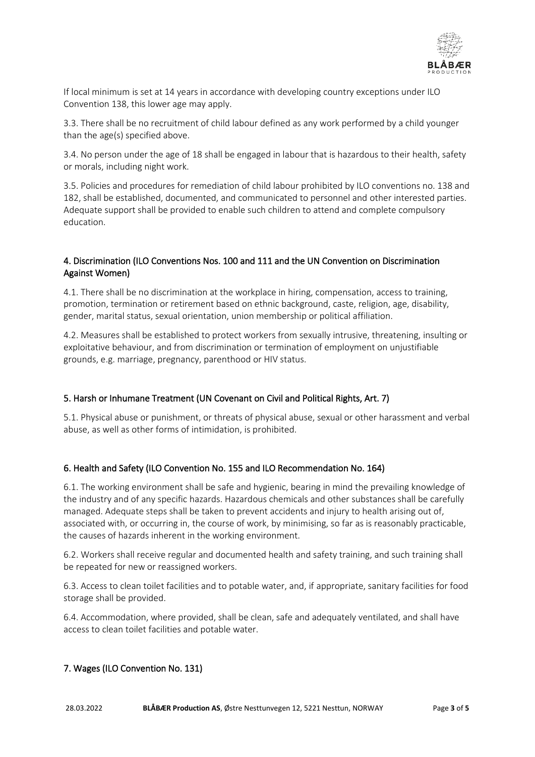

If local minimum is set at 14 years in accordance with developing country exceptions under ILO Convention 138, this lower age may apply.

3.3. There shall be no recruitment of child labour defined as any work performed by a child younger than the age(s) specified above.

3.4. No person under the age of 18 shall be engaged in labour that is hazardous to their health, safety or morals, including night work.

3.5. Policies and procedures for remediation of child labour prohibited by ILO conventions no. 138 and 182, shall be established, documented, and communicated to personnel and other interested parties. Adequate support shall be provided to enable such children to attend and complete compulsory education.

# 4. Discrimination (ILO Conventions Nos. 100 and 111 and the UN Convention on Discrimination Against Women)

4.1. There shall be no discrimination at the workplace in hiring, compensation, access to training, promotion, termination or retirement based on ethnic background, caste, religion, age, disability, gender, marital status, sexual orientation, union membership or political affiliation.

4.2. Measures shall be established to protect workers from sexually intrusive, threatening, insulting or exploitative behaviour, and from discrimination or termination of employment on unjustifiable grounds, e.g. marriage, pregnancy, parenthood or HIV status.

# 5. Harsh or Inhumane Treatment (UN Covenant on Civil and Political Rights, Art. 7)

5.1. Physical abuse or punishment, or threats of physical abuse, sexual or other harassment and verbal abuse, as well as other forms of intimidation, is prohibited.

# 6. Health and Safety (ILO Convention No. 155 and ILO Recommendation No. 164)

6.1. The working environment shall be safe and hygienic, bearing in mind the prevailing knowledge of the industry and of any specific hazards. Hazardous chemicals and other substances shall be carefully managed. Adequate steps shall be taken to prevent accidents and injury to health arising out of, associated with, or occurring in, the course of work, by minimising, so far as is reasonably practicable, the causes of hazards inherent in the working environment.

6.2. Workers shall receive regular and documented health and safety training, and such training shall be repeated for new or reassigned workers.

6.3. Access to clean toilet facilities and to potable water, and, if appropriate, sanitary facilities for food storage shall be provided.

6.4. Accommodation, where provided, shall be clean, safe and adequately ventilated, and shall have access to clean toilet facilities and potable water.

# 7. Wages (ILO Convention No. 131)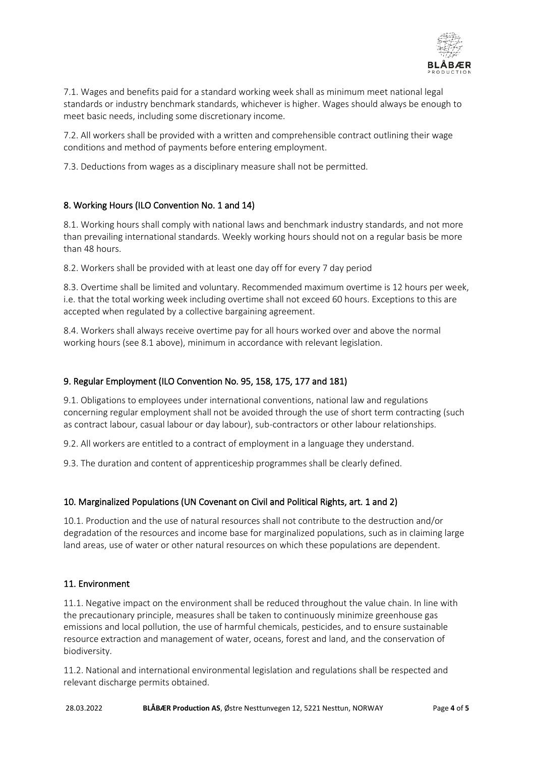

7.1. Wages and benefits paid for a standard working week shall as minimum meet national legal standards or industry benchmark standards, whichever is higher. Wages should always be enough to meet basic needs, including some discretionary income.

7.2. All workers shall be provided with a written and comprehensible contract outlining their wage conditions and method of payments before entering employment.

7.3. Deductions from wages as a disciplinary measure shall not be permitted.

# 8. Working Hours (ILO Convention No. 1 and 14)

8.1. Working hours shall comply with national laws and benchmark industry standards, and not more than prevailing international standards. Weekly working hours should not on a regular basis be more than 48 hours.

8.2. Workers shall be provided with at least one day off for every 7 day period

8.3. Overtime shall be limited and voluntary. Recommended maximum overtime is 12 hours per week, i.e. that the total working week including overtime shall not exceed 60 hours. Exceptions to this are accepted when regulated by a collective bargaining agreement.

8.4. Workers shall always receive overtime pay for all hours worked over and above the normal working hours (see 8.1 above), minimum in accordance with relevant legislation.

#### 9. Regular Employment (ILO Convention No. 95, 158, 175, 177 and 181)

9.1. Obligations to employees under international conventions, national law and regulations concerning regular employment shall not be avoided through the use of short term contracting (such as contract labour, casual labour or day labour), sub-contractors or other labour relationships.

9.2. All workers are entitled to a contract of employment in a language they understand.

9.3. The duration and content of apprenticeship programmes shall be clearly defined.

#### 10. Marginalized Populations (UN Covenant on Civil and Political Rights, art. 1 and 2)

10.1. Production and the use of natural resources shall not contribute to the destruction and/or degradation of the resources and income base for marginalized populations, such as in claiming large land areas, use of water or other natural resources on which these populations are dependent.

#### 11. Environment

11.1. Negative impact on the environment shall be reduced throughout the value chain. In line with the precautionary principle, measures shall be taken to continuously minimize greenhouse gas emissions and local pollution, the use of harmful chemicals, pesticides, and to ensure sustainable resource extraction and management of water, oceans, forest and land, and the conservation of biodiversity.

11.2. National and international environmental legislation and regulations shall be respected and relevant discharge permits obtained.